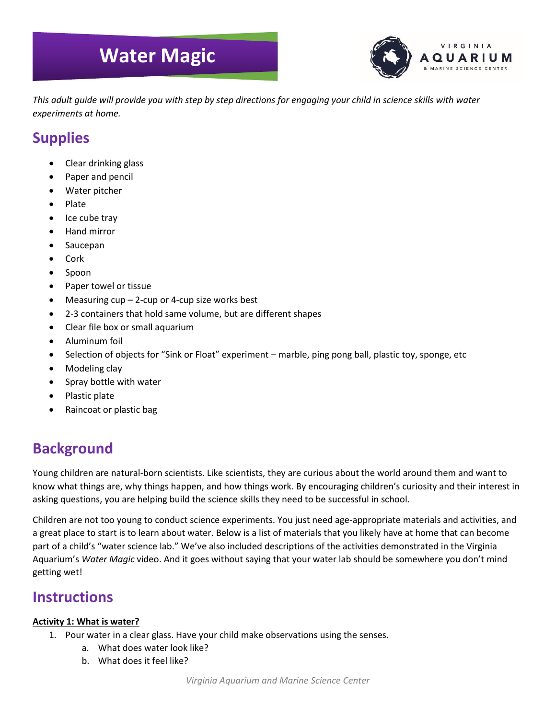# **Water Magic**



*This adult guide will provide you with step by step directions for engaging your child in science skills with water experiments at home.* 

## **Supplies**

- Clear drinking glass
- Paper and pencil
- Water pitcher
- Plate
- Ice cube tray
- Hand mirror
- Saucepan
- Cork
- Spoon
- Paper towel or tissue
- Measuring  $cup 2$ -cup or 4-cup size works best
- 2-3 containers that hold same volume, but are different shapes
- Clear file box or small aquarium
- Aluminum foil
- Selection of objects for "Sink or Float" experiment marble, ping pong ball, plastic toy, sponge, etc
- Modeling clay
- Spray bottle with water
- Plastic plate
- Raincoat or plastic bag

# **Background**

Young children are natural-born scientists. Like scientists, they are curious about the world around them and want to know what things are, why things happen, and how things work. By encouraging children's curiosity and their interest in asking questions, you are helping build the science skills they need to be successful in school.

Children are not too young to conduct science experiments. You just need age-appropriate materials and activities, and a great place to start is to learn about water. Below is a list of materials that you likely have at home that can become part of a child's "water science lab." We've also included descriptions of the activities demonstrated in the Virginia Aquarium's *Water Magic* video. And it goes without saying that your water lab should be somewhere you don't mind getting wet!

### **Instructions**

#### **Activity 1: What is water?**

- 1. Pour water in a clear glass. Have your child make observations using the senses.
	- a. What does water look like?
	- b. What does it feel like?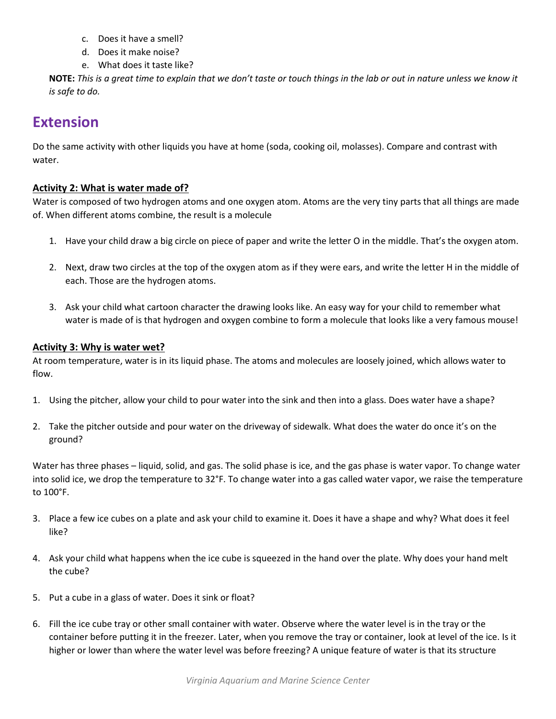- c. Does it have a smell?
- d. Does it make noise?
- e. What does it taste like?

**NOTE:** *This is a great time to explain that we don't taste or touch things in the lab or out in nature unless we know it is safe to do.*

### **Extension**

Do the same activity with other liquids you have at home (soda, cooking oil, molasses). Compare and contrast with water.

#### **Activity 2: What is water made of?**

Water is composed of two hydrogen atoms and one oxygen atom. Atoms are the very tiny parts that all things are made of. When different atoms combine, the result is a molecule

- 1. Have your child draw a big circle on piece of paper and write the letter O in the middle. That's the oxygen atom.
- 2. Next, draw two circles at the top of the oxygen atom as if they were ears, and write the letter H in the middle of each. Those are the hydrogen atoms.
- 3. Ask your child what cartoon character the drawing looks like. An easy way for your child to remember what water is made of is that hydrogen and oxygen combine to form a molecule that looks like a very famous mouse!

#### **Activity 3: Why is water wet?**

At room temperature, water is in its liquid phase. The atoms and molecules are loosely joined, which allows water to flow.

- 1. Using the pitcher, allow your child to pour water into the sink and then into a glass. Does water have a shape?
- 2. Take the pitcher outside and pour water on the driveway of sidewalk. What does the water do once it's on the ground?

Water has three phases – liquid, solid, and gas. The solid phase is ice, and the gas phase is water vapor. To change water into solid ice, we drop the temperature to 32°F. To change water into a gas called water vapor, we raise the temperature to 100°F.

- 3. Place a few ice cubes on a plate and ask your child to examine it. Does it have a shape and why? What does it feel like?
- 4. Ask your child what happens when the ice cube is squeezed in the hand over the plate. Why does your hand melt the cube?
- 5. Put a cube in a glass of water. Does it sink or float?
- 6. Fill the ice cube tray or other small container with water. Observe where the water level is in the tray or the container before putting it in the freezer. Later, when you remove the tray or container, look at level of the ice. Is it higher or lower than where the water level was before freezing? A unique feature of water is that its structure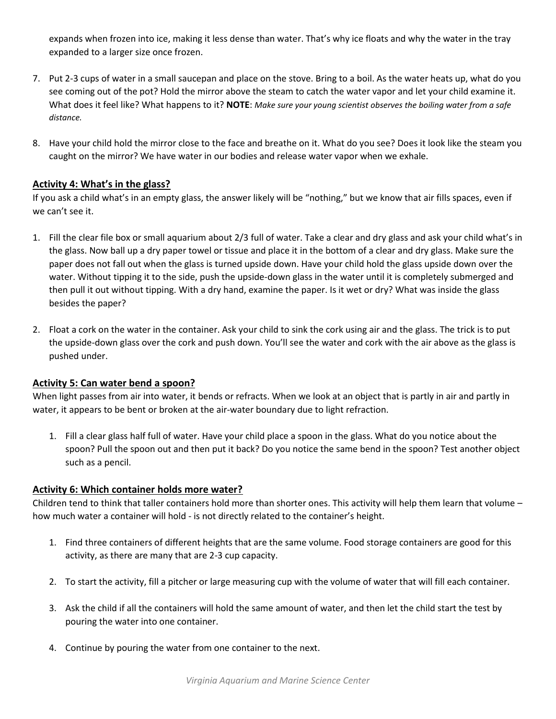expands when frozen into ice, making it less dense than water. That's why ice floats and why the water in the tray expanded to a larger size once frozen.

- 7. Put 2-3 cups of water in a small saucepan and place on the stove. Bring to a boil. As the water heats up, what do you see coming out of the pot? Hold the mirror above the steam to catch the water vapor and let your child examine it. What does it feel like? What happens to it? **NOTE**: *Make sure your young scientist observes the boiling water from a safe distance.*
- 8. Have your child hold the mirror close to the face and breathe on it. What do you see? Does it look like the steam you caught on the mirror? We have water in our bodies and release water vapor when we exhale.

#### **Activity 4: What's in the glass?**

If you ask a child what's in an empty glass, the answer likely will be "nothing," but we know that air fills spaces, even if we can't see it.

- 1. Fill the clear file box or small aquarium about 2/3 full of water. Take a clear and dry glass and ask your child what's in the glass. Now ball up a dry paper towel or tissue and place it in the bottom of a clear and dry glass. Make sure the paper does not fall out when the glass is turned upside down. Have your child hold the glass upside down over the water. Without tipping it to the side, push the upside-down glass in the water until it is completely submerged and then pull it out without tipping. With a dry hand, examine the paper. Is it wet or dry? What was inside the glass besides the paper?
- 2. Float a cork on the water in the container. Ask your child to sink the cork using air and the glass. The trick is to put the upside-down glass over the cork and push down. You'll see the water and cork with the air above as the glass is pushed under.

#### **Activity 5: Can water bend a spoon?**

When light passes from air into water, it bends or refracts. When we look at an object that is partly in air and partly in water, it appears to be bent or broken at the air-water boundary due to light refraction.

1. Fill a clear glass half full of water. Have your child place a spoon in the glass. What do you notice about the spoon? Pull the spoon out and then put it back? Do you notice the same bend in the spoon? Test another object such as a pencil.

#### **Activity 6: Which container holds more water?**

Children tend to think that taller containers hold more than shorter ones. This activity will help them learn that volume – how much water a container will hold - is not directly related to the container's height.

- 1. Find three containers of different heights that are the same volume. Food storage containers are good for this activity, as there are many that are 2-3 cup capacity.
- 2. To start the activity, fill a pitcher or large measuring cup with the volume of water that will fill each container.
- 3. Ask the child if all the containers will hold the same amount of water, and then let the child start the test by pouring the water into one container.
- 4. Continue by pouring the water from one container to the next.